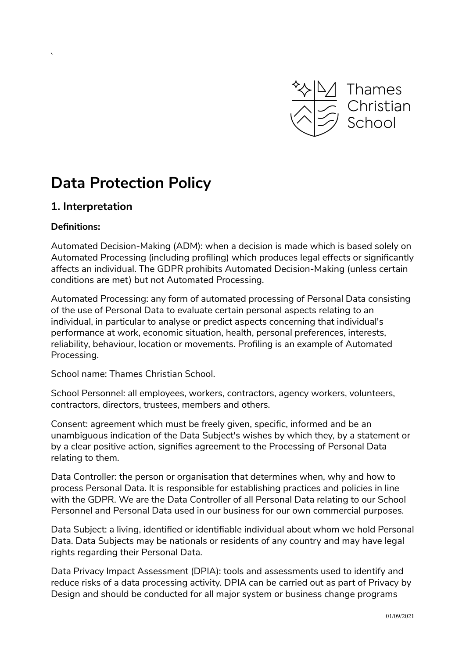

# **Data Protection Policy**

# **1. Interpretation**

## **Definitions:**

 $\overline{a}$ 

Automated Decision-Making (ADM): when a decision is made which is based solely on Automated Processing (including profiling) which produces legal effects or significantly affects an individual. The GDPR prohibits Automated Decision-Making (unless certain conditions are met) but not Automated Processing.

Automated Processing: any form of automated processing of Personal Data consisting of the use of Personal Data to evaluate certain personal aspects relating to an individual, in particular to analyse or predict aspects concerning that individual's performance at work, economic situation, health, personal preferences, interests, reliability, behaviour, location or movements. Profiling is an example of Automated Processing.

School name: Thames Christian School.

School Personnel: all employees, workers, contractors, agency workers, volunteers, contractors, directors, trustees, members and others.

Consent: agreement which must be freely given, specific, informed and be an unambiguous indication of the Data Subject's wishes by which they, by a statement or by a clear positive action, signifies agreement to the Processing of Personal Data relating to them.

Data Controller: the person or organisation that determines when, why and how to process Personal Data. It is responsible for establishing practices and policies in line with the GDPR. We are the Data Controller of all Personal Data relating to our School Personnel and Personal Data used in our business for our own commercial purposes.

Data Subject: a living, identified or identifiable individual about whom we hold Personal Data. Data Subjects may be nationals or residents of any country and may have legal rights regarding their Personal Data.

Data Privacy Impact Assessment (DPIA): tools and assessments used to identify and reduce risks of a data processing activity. DPIA can be carried out as part of Privacy by Design and should be conducted for all major system or business change programs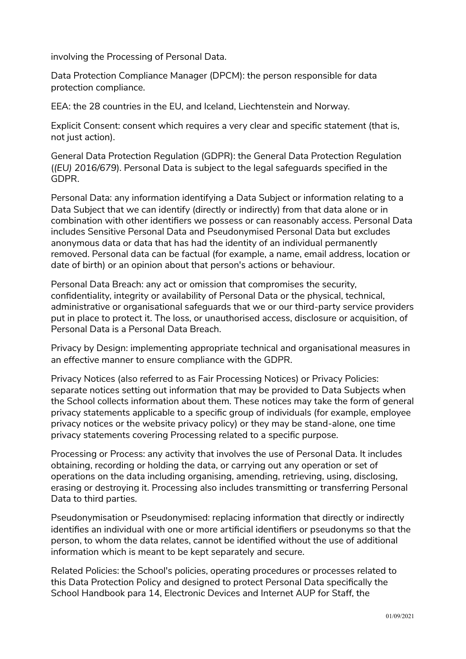involving the Processing of Personal Data.

Data Protection Compliance Manager (DPCM): the person responsible for data protection compliance.

EEA: the 28 countries in the EU, and Iceland, Liechtenstein and Norway.

Explicit Consent: consent which requires a very clear and specific statement (that is, not just action).

General Data Protection Regulation (GDPR): the General Data Protection Regulation (*(EU) 2016/679*). Personal Data is subject to the legal safeguards specified in the GDPR.

Personal Data: any information identifying a Data Subject or information relating to a Data Subject that we can identify (directly or indirectly) from that data alone or in combination with other identifiers we possess or can reasonably access. Personal Data includes Sensitive Personal Data and Pseudonymised Personal Data but excludes anonymous data or data that has had the identity of an individual permanently removed. Personal data can be factual (for example, a name, email address, location or date of birth) or an opinion about that person's actions or behaviour.

Personal Data Breach: any act or omission that compromises the security, confidentiality, integrity or availability of Personal Data or the physical, technical, administrative or organisational safeguards that we or our third-party service providers put in place to protect it. The loss, or unauthorised access, disclosure or acquisition, of Personal Data is a Personal Data Breach.

Privacy by Design: implementing appropriate technical and organisational measures in an effective manner to ensure compliance with the GDPR.

Privacy Notices (also referred to as Fair Processing Notices) or Privacy Policies: separate notices setting out information that may be provided to Data Subjects when the School collects information about them. These notices may take the form of general privacy statements applicable to a specific group of individuals (for example, employee privacy notices or the website privacy policy) or they may be stand-alone, one time privacy statements covering Processing related to a specific purpose.

Processing or Process: any activity that involves the use of Personal Data. It includes obtaining, recording or holding the data, or carrying out any operation or set of operations on the data including organising, amending, retrieving, using, disclosing, erasing or destroying it. Processing also includes transmitting or transferring Personal Data to third parties.

Pseudonymisation or Pseudonymised: replacing information that directly or indirectly identifies an individual with one or more artificial identifiers or pseudonyms so that the person, to whom the data relates, cannot be identified without the use of additional information which is meant to be kept separately and secure.

Related Policies: the School's policies, operating procedures or processes related to this Data Protection Policy and designed to protect Personal Data specifically the School Handbook para 14, Electronic Devices and Internet AUP for Staff, the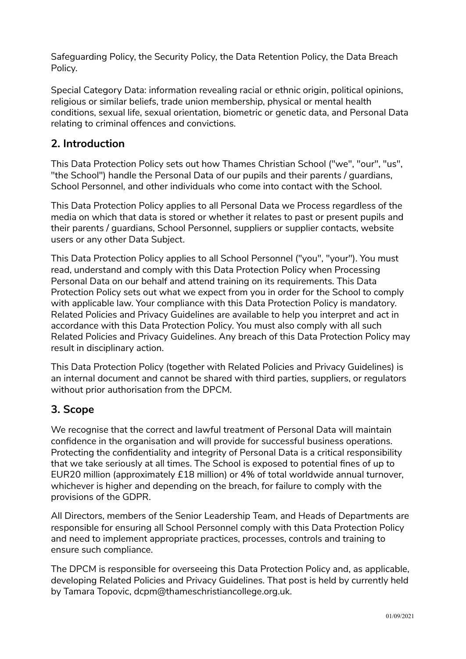Safeguarding Policy, the Security Policy, the Data Retention Policy, the Data Breach Policy.

Special Category Data: information revealing racial or ethnic origin, political opinions, religious or similar beliefs, trade union membership, physical or mental health conditions, sexual life, sexual orientation, biometric or genetic data, and Personal Data relating to criminal offences and convictions.

# **2. Introduction**

This Data Protection Policy sets out how Thames Christian School ("we", "our", "us", "the School") handle the Personal Data of our pupils and their parents / guardians, School Personnel, and other individuals who come into contact with the School.

This Data Protection Policy applies to all Personal Data we Process regardless of the media on which that data is stored or whether it relates to past or present pupils and their parents / guardians, School Personnel, suppliers or supplier contacts, website users or any other Data Subject.

This Data Protection Policy applies to all School Personnel ("you", "your"). You must read, understand and comply with this Data Protection Policy when Processing Personal Data on our behalf and attend training on its requirements. This Data Protection Policy sets out what we expect from you in order for the School to comply with applicable law. Your compliance with this Data Protection Policy is mandatory. Related Policies and Privacy Guidelines are available to help you interpret and act in accordance with this Data Protection Policy. You must also comply with all such Related Policies and Privacy Guidelines. Any breach of this Data Protection Policy may result in disciplinary action.

This Data Protection Policy (together with Related Policies and Privacy Guidelines) is an internal document and cannot be shared with third parties, suppliers, or regulators without prior authorisation from the DPCM.

# **3. Scope**

We recognise that the correct and lawful treatment of Personal Data will maintain confidence in the organisation and will provide for successful business operations. Protecting the confidentiality and integrity of Personal Data is a critical responsibility that we take seriously at all times. The School is exposed to potential fines of up to EUR20 million (approximately £18 million) or 4% of total worldwide annual turnover, whichever is higher and depending on the breach, for failure to comply with the provisions of the GDPR.

All Directors, members of the Senior Leadership Team, and Heads of Departments are responsible for ensuring all School Personnel comply with this Data Protection Policy and need to implement appropriate practices, processes, controls and training to ensure such compliance.

The DPCM is responsible for overseeing this Data Protection Policy and, as applicable, developing Related Policies and Privacy Guidelines. That post is held by currently held by Tamara Topovic, dcpm@thameschristiancollege.org.uk.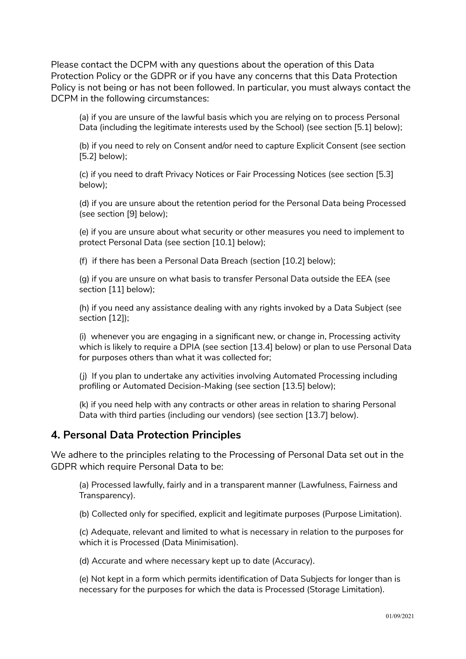Please contact the DCPM with any questions about the operation of this Data Protection Policy or the GDPR or if you have any concerns that this Data Protection Policy is not being or has not been followed. In particular, you must always contact the DCPM in the following circumstances:

(a) if you are unsure of the lawful basis which you are relying on to process Personal Data (including the legitimate interests used by the School) (see section [5.1] below);

(b) if you need to rely on Consent and/or need to capture Explicit Consent (see section [5.2] below);

(c) if you need to draft Privacy Notices or Fair Processing Notices (see section [5.3] below);

(d) if you are unsure about the retention period for the Personal Data being Processed (see section [9] below);

(e) if you are unsure about what security or other measures you need to implement to protect Personal Data (see section [10.1] below);

(f) if there has been a Personal Data Breach (section [10.2] below);

(g) if you are unsure on what basis to transfer Personal Data outside the EEA (see section [11] below);

(h) if you need any assistance dealing with any rights invoked by a Data Subject (see section [12]);

(i) whenever you are engaging in a significant new, or change in, Processing activity which is likely to require a DPIA (see section [13.4] below) or plan to use Personal Data for purposes others than what it was collected for;

(j) If you plan to undertake any activities involving Automated Processing including profiling or Automated Decision-Making (see section [13.5] below);

(k) if you need help with any contracts or other areas in relation to sharing Personal Data with third parties (including our vendors) (see section [13.7] below).

## **4. Personal Data Protection Principles**

We adhere to the principles relating to the Processing of Personal Data set out in the GDPR which require Personal Data to be:

(a) Processed lawfully, fairly and in a transparent manner (Lawfulness, Fairness and Transparency).

(b) Collected only for specified, explicit and legitimate purposes (Purpose Limitation).

(c) Adequate, relevant and limited to what is necessary in relation to the purposes for which it is Processed (Data Minimisation).

(d) Accurate and where necessary kept up to date (Accuracy).

(e) Not kept in a form which permits identification of Data Subjects for longer than is necessary for the purposes for which the data is Processed (Storage Limitation).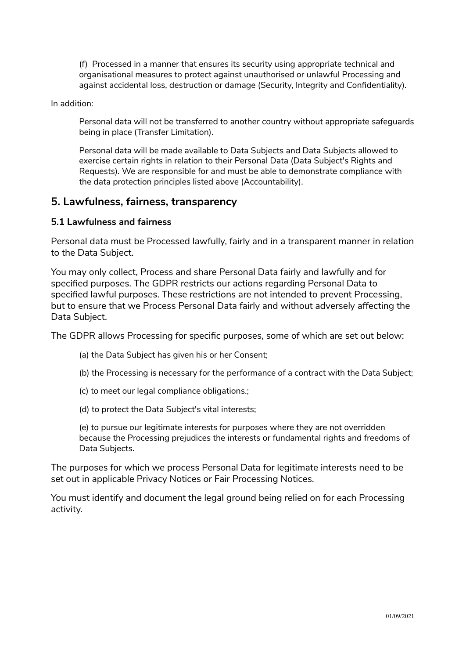(f) Processed in a manner that ensures its security using appropriate technical and organisational measures to protect against unauthorised or unlawful Processing and against accidental loss, destruction or damage (Security, Integrity and Confidentiality).

In addition:

Personal data will not be transferred to another country without appropriate safeguards being in place (Transfer Limitation).

Personal data will be made available to Data Subjects and Data Subjects allowed to exercise certain rights in relation to their Personal Data (Data Subject's Rights and Requests). We are responsible for and must be able to demonstrate compliance with the data protection principles listed above (Accountability).

## **5. Lawfulness, fairness, transparency**

## **5.1 Lawfulness and fairness**

Personal data must be Processed lawfully, fairly and in a transparent manner in relation to the Data Subject.

You may only collect, Process and share Personal Data fairly and lawfully and for specified purposes. The GDPR restricts our actions regarding Personal Data to specified lawful purposes. These restrictions are not intended to prevent Processing, but to ensure that we Process Personal Data fairly and without adversely affecting the Data Subject.

The GDPR allows Processing for specific purposes, some of which are set out below:

- (a) the Data Subject has given his or her Consent;
- (b) the Processing is necessary for the performance of a contract with the Data Subject;
- (c) to meet our legal compliance obligations.;
- (d) to protect the Data Subject's vital interests;

(e) to pursue our legitimate interests for purposes where they are not overridden because the Processing prejudices the interests or fundamental rights and freedoms of Data Subjects.

The purposes for which we process Personal Data for legitimate interests need to be set out in applicable Privacy Notices or Fair Processing Notices.

You must identify and document the legal ground being relied on for each Processing activity.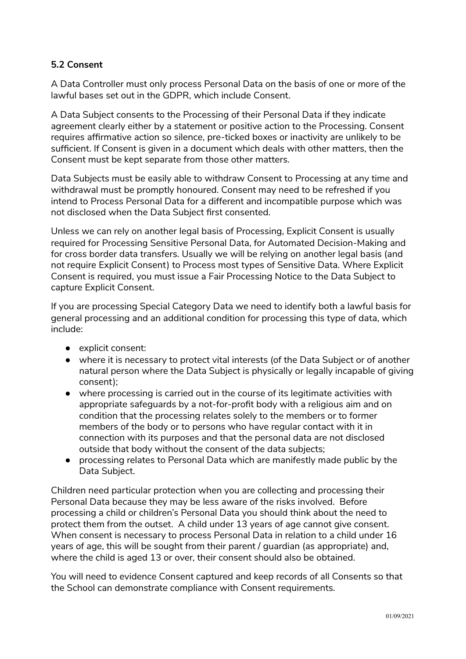## **5.2 Consent**

A Data Controller must only process Personal Data on the basis of one or more of the lawful bases set out in the GDPR, which include Consent.

A Data Subject consents to the Processing of their Personal Data if they indicate agreement clearly either by a statement or positive action to the Processing. Consent requires affirmative action so silence, pre-ticked boxes or inactivity are unlikely to be sufficient. If Consent is given in a document which deals with other matters, then the Consent must be kept separate from those other matters.

Data Subjects must be easily able to withdraw Consent to Processing at any time and withdrawal must be promptly honoured. Consent may need to be refreshed if you intend to Process Personal Data for a different and incompatible purpose which was not disclosed when the Data Subject first consented.

Unless we can rely on another legal basis of Processing, Explicit Consent is usually required for Processing Sensitive Personal Data, for Automated Decision-Making and for cross border data transfers. Usually we will be relying on another legal basis (and not require Explicit Consent) to Process most types of Sensitive Data. Where Explicit Consent is required, you must issue a Fair Processing Notice to the Data Subject to capture Explicit Consent.

If you are processing Special Category Data we need to identify both a lawful basis for general processing and an additional condition for processing this type of data, which include:

- explicit consent:
- where it is necessary to protect vital interests (of the Data Subject or of another natural person where the Data Subject is physically or legally incapable of giving consent);
- where processing is carried out in the course of its legitimate activities with appropriate safeguards by a not-for-profit body with a religious aim and on condition that the processing relates solely to the members or to former members of the body or to persons who have regular contact with it in connection with its purposes and that the personal data are not disclosed outside that body without the consent of the data subjects;
- processing relates to Personal Data which are manifestly made public by the Data Subject.

Children need particular protection when you are collecting and processing their Personal Data because they may be less aware of the risks involved. Before processing a child or children's Personal Data you should think about the need to protect them from the outset. A child under 13 years of age cannot give consent. When consent is necessary to process Personal Data in relation to a child under 16 years of age, this will be sought from their parent / guardian (as appropriate) and, where the child is aged 13 or over, their consent should also be obtained.

You will need to evidence Consent captured and keep records of all Consents so that the School can demonstrate compliance with Consent requirements.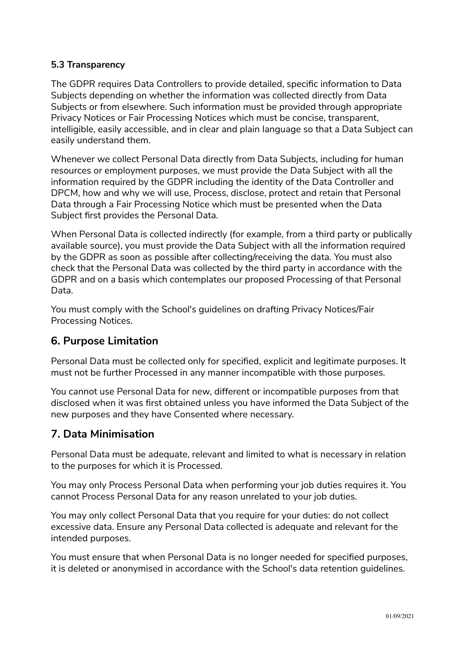## **5.3 Transparency**

The GDPR requires Data Controllers to provide detailed, specific information to Data Subjects depending on whether the information was collected directly from Data Subjects or from elsewhere. Such information must be provided through appropriate Privacy Notices or Fair Processing Notices which must be concise, transparent, intelligible, easily accessible, and in clear and plain language so that a Data Subject can easily understand them.

Whenever we collect Personal Data directly from Data Subjects, including for human resources or employment purposes, we must provide the Data Subject with all the information required by the GDPR including the identity of the Data Controller and DPCM, how and why we will use, Process, disclose, protect and retain that Personal Data through a Fair Processing Notice which must be presented when the Data Subject first provides the Personal Data.

When Personal Data is collected indirectly (for example, from a third party or publically available source), you must provide the Data Subject with all the information required by the GDPR as soon as possible after collecting/receiving the data. You must also check that the Personal Data was collected by the third party in accordance with the GDPR and on a basis which contemplates our proposed Processing of that Personal Data.

You must comply with the School's guidelines on drafting Privacy Notices/Fair Processing Notices.

# **6. Purpose Limitation**

Personal Data must be collected only for specified, explicit and legitimate purposes. It must not be further Processed in any manner incompatible with those purposes.

You cannot use Personal Data for new, different or incompatible purposes from that disclosed when it was first obtained unless you have informed the Data Subject of the new purposes and they have Consented where necessary.

# **7. Data Minimisation**

Personal Data must be adequate, relevant and limited to what is necessary in relation to the purposes for which it is Processed.

You may only Process Personal Data when performing your job duties requires it. You cannot Process Personal Data for any reason unrelated to your job duties.

You may only collect Personal Data that you require for your duties: do not collect excessive data. Ensure any Personal Data collected is adequate and relevant for the intended purposes.

You must ensure that when Personal Data is no longer needed for specified purposes, it is deleted or anonymised in accordance with the School's data retention guidelines.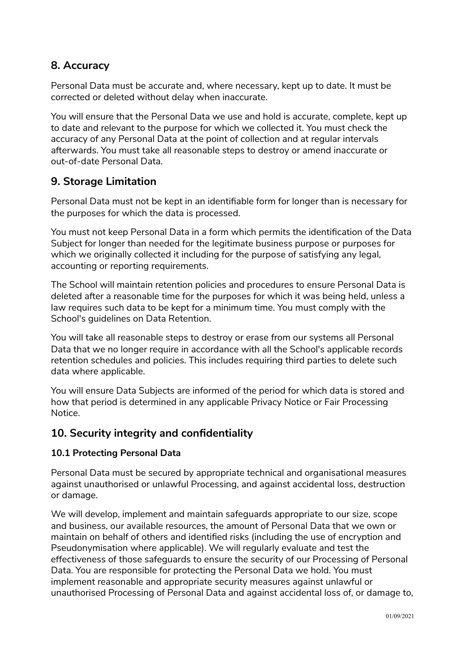# **8. Accuracy**

Personal Data must be accurate and, where necessary, kept up to date. It must be corrected or deleted without delay when inaccurate.

You will ensure that the Personal Data we use and hold is accurate, complete, kept up to date and relevant to the purpose for which we collected it. You must check the accuracy of any Personal Data at the point of collection and at regular intervals afterwards. You must take all reasonable steps to destroy or amend inaccurate or out-of-date Personal Data.

# **9. Storage Limitation**

Personal Data must not be kept in an identifiable form for longer than is necessary for the purposes for which the data is processed.

You must not keep Personal Data in a form which permits the identification of the Data Subject for longer than needed for the legitimate business purpose or purposes for which we originally collected it including for the purpose of satisfying any legal, accounting or reporting requirements.

The School will maintain retention policies and procedures to ensure Personal Data is deleted after a reasonable time for the purposes for which it was being held, unless a law requires such data to be kept for a minimum time. You must comply with the School's guidelines on Data Retention.

You will take all reasonable steps to destroy or erase from our systems all Personal Data that we no longer require in accordance with all the School's applicable records retention schedules and policies. This includes requiring third parties to delete such data where applicable.

You will ensure Data Subjects are informed of the period for which data is stored and how that period is determined in any applicable Privacy Notice or Fair Processing Notice.

# **10. Security integrity and confidentiality**

## **10.1 Protecting Personal Data**

Personal Data must be secured by appropriate technical and organisational measures against unauthorised or unlawful Processing, and against accidental loss, destruction or damage.

We will develop, implement and maintain safeguards appropriate to our size, scope and business, our available resources, the amount of Personal Data that we own or maintain on behalf of others and identified risks (including the use of encryption and Pseudonymisation where applicable). We will regularly evaluate and test the effectiveness of those safeguards to ensure the security of our Processing of Personal Data. You are responsible for protecting the Personal Data we hold. You must implement reasonable and appropriate security measures against unlawful or unauthorised Processing of Personal Data and against accidental loss of, or damage to,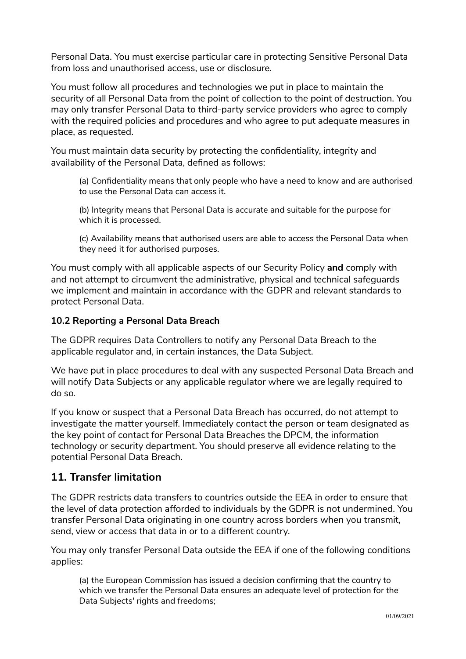Personal Data. You must exercise particular care in protecting Sensitive Personal Data from loss and unauthorised access, use or disclosure.

You must follow all procedures and technologies we put in place to maintain the security of all Personal Data from the point of collection to the point of destruction. You may only transfer Personal Data to third-party service providers who agree to comply with the required policies and procedures and who agree to put adequate measures in place, as requested.

You must maintain data security by protecting the confidentiality, integrity and availability of the Personal Data, defined as follows:

(a) Confidentiality means that only people who have a need to know and are authorised to use the Personal Data can access it.

(b) Integrity means that Personal Data is accurate and suitable for the purpose for which it is processed.

(c) Availability means that authorised users are able to access the Personal Data when they need it for authorised purposes.

You must comply with all applicable aspects of our Security Policy **and** comply with and not attempt to circumvent the administrative, physical and technical safeguards we implement and maintain in accordance with the GDPR and relevant standards to protect Personal Data.

## **10.2 Reporting a Personal Data Breach**

The GDPR requires Data Controllers to notify any Personal Data Breach to the applicable regulator and, in certain instances, the Data Subject.

We have put in place procedures to deal with any suspected Personal Data Breach and will notify Data Subjects or any applicable regulator where we are legally required to do so.

If you know or suspect that a Personal Data Breach has occurred, do not attempt to investigate the matter yourself. Immediately contact the person or team designated as the key point of contact for Personal Data Breaches the DPCM, the information technology or security department. You should preserve all evidence relating to the potential Personal Data Breach.

# **11. Transfer limitation**

The GDPR restricts data transfers to countries outside the EEA in order to ensure that the level of data protection afforded to individuals by the GDPR is not undermined. You transfer Personal Data originating in one country across borders when you transmit, send, view or access that data in or to a different country.

You may only transfer Personal Data outside the EEA if one of the following conditions applies:

(a) the European Commission has issued a decision confirming that the country to which we transfer the Personal Data ensures an adequate level of protection for the Data Subjects' rights and freedoms;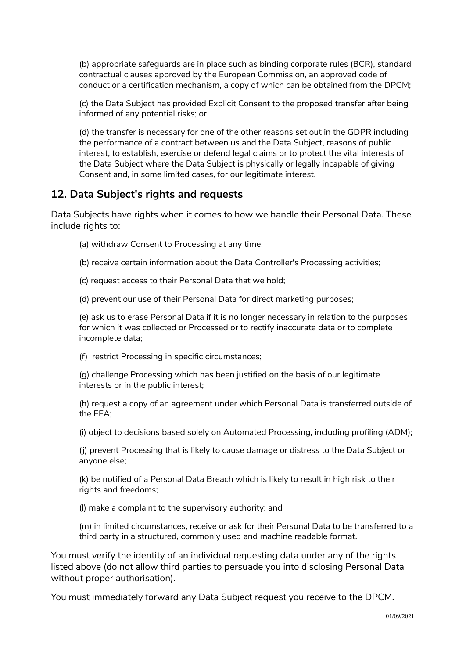(b) appropriate safeguards are in place such as binding corporate rules (BCR), standard contractual clauses approved by the European Commission, an approved code of conduct or a certification mechanism, a copy of which can be obtained from the DPCM;

(c) the Data Subject has provided Explicit Consent to the proposed transfer after being informed of any potential risks; or

(d) the transfer is necessary for one of the other reasons set out in the GDPR including the performance of a contract between us and the Data Subject, reasons of public interest, to establish, exercise or defend legal claims or to protect the vital interests of the Data Subject where the Data Subject is physically or legally incapable of giving Consent and, in some limited cases, for our legitimate interest.

## **12. Data Subject's rights and requests**

Data Subjects have rights when it comes to how we handle their Personal Data. These include rights to:

- (a) withdraw Consent to Processing at any time;
- (b) receive certain information about the Data Controller's Processing activities;
- (c) request access to their Personal Data that we hold;
- (d) prevent our use of their Personal Data for direct marketing purposes;

(e) ask us to erase Personal Data if it is no longer necessary in relation to the purposes for which it was collected or Processed or to rectify inaccurate data or to complete incomplete data;

(f) restrict Processing in specific circumstances;

(g) challenge Processing which has been justified on the basis of our legitimate interests or in the public interest;

(h) request a copy of an agreement under which Personal Data is transferred outside of the EEA;

(i) object to decisions based solely on Automated Processing, including profiling (ADM);

(j) prevent Processing that is likely to cause damage or distress to the Data Subject or anyone else;

(k) be notified of a Personal Data Breach which is likely to result in high risk to their rights and freedoms;

(l) make a complaint to the supervisory authority; and

(m) in limited circumstances, receive or ask for their Personal Data to be transferred to a third party in a structured, commonly used and machine readable format.

You must verify the identity of an individual requesting data under any of the rights listed above (do not allow third parties to persuade you into disclosing Personal Data without proper authorisation).

You must immediately forward any Data Subject request you receive to the DPCM.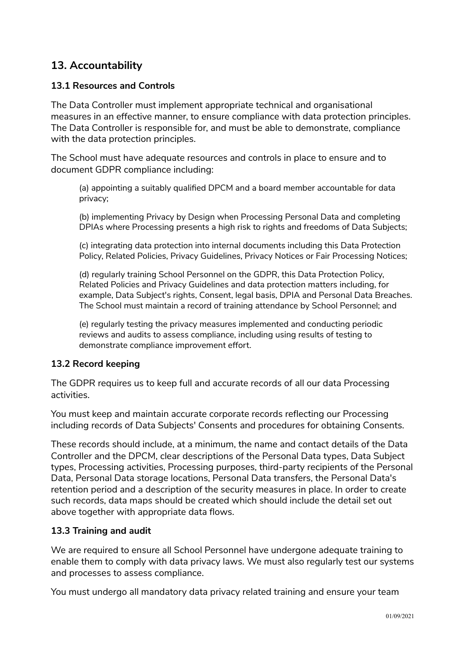# **13. Accountability**

## **13.1 Resources and Controls**

The Data Controller must implement appropriate technical and organisational measures in an effective manner, to ensure compliance with data protection principles. The Data Controller is responsible for, and must be able to demonstrate, compliance with the data protection principles.

The School must have adequate resources and controls in place to ensure and to document GDPR compliance including:

(a) appointing a suitably qualified DPCM and a board member accountable for data privacy;

(b) implementing Privacy by Design when Processing Personal Data and completing DPIAs where Processing presents a high risk to rights and freedoms of Data Subjects;

(c) integrating data protection into internal documents including this Data Protection Policy, Related Policies, Privacy Guidelines, Privacy Notices or Fair Processing Notices;

(d) regularly training School Personnel on the GDPR, this Data Protection Policy, Related Policies and Privacy Guidelines and data protection matters including, for example, Data Subject's rights, Consent, legal basis, DPIA and Personal Data Breaches. The School must maintain a record of training attendance by School Personnel; and

(e) regularly testing the privacy measures implemented and conducting periodic reviews and audits to assess compliance, including using results of testing to demonstrate compliance improvement effort.

## **13.2 Record keeping**

The GDPR requires us to keep full and accurate records of all our data Processing activities.

You must keep and maintain accurate corporate records reflecting our Processing including records of Data Subjects' Consents and procedures for obtaining Consents.

These records should include, at a minimum, the name and contact details of the Data Controller and the DPCM, clear descriptions of the Personal Data types, Data Subject types, Processing activities, Processing purposes, third-party recipients of the Personal Data, Personal Data storage locations, Personal Data transfers, the Personal Data's retention period and a description of the security measures in place. In order to create such records, data maps should be created which should include the detail set out above together with appropriate data flows.

## **13.3 Training and audit**

We are required to ensure all School Personnel have undergone adequate training to enable them to comply with data privacy laws. We must also regularly test our systems and processes to assess compliance.

You must undergo all mandatory data privacy related training and ensure your team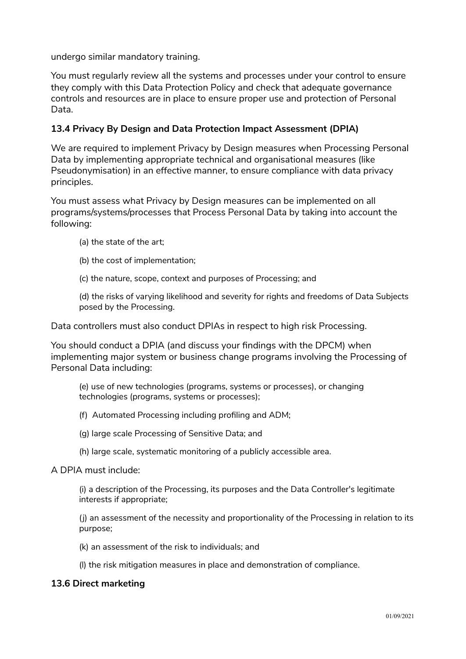undergo similar mandatory training.

You must regularly review all the systems and processes under your control to ensure they comply with this Data Protection Policy and check that adequate governance controls and resources are in place to ensure proper use and protection of Personal Data.

## **13.4 Privacy By Design and Data Protection Impact Assessment (DPIA)**

We are required to implement Privacy by Design measures when Processing Personal Data by implementing appropriate technical and organisational measures (like Pseudonymisation) in an effective manner, to ensure compliance with data privacy principles.

You must assess what Privacy by Design measures can be implemented on all programs/systems/processes that Process Personal Data by taking into account the following:

- (a) the state of the art;
- (b) the cost of implementation;
- (c) the nature, scope, context and purposes of Processing; and

(d) the risks of varying likelihood and severity for rights and freedoms of Data Subjects posed by the Processing.

Data controllers must also conduct DPIAs in respect to high risk Processing.

You should conduct a DPIA (and discuss your findings with the DPCM) when implementing major system or business change programs involving the Processing of Personal Data including:

(e) use of new technologies (programs, systems or processes), or changing technologies (programs, systems or processes);

- (f) Automated Processing including profiling and ADM;
- (g) large scale Processing of Sensitive Data; and
- (h) large scale, systematic monitoring of a publicly accessible area.

#### A DPIA must include:

(i) a description of the Processing, its purposes and the Data Controller's legitimate interests if appropriate;

(j) an assessment of the necessity and proportionality of the Processing in relation to its purpose;

(k) an assessment of the risk to individuals; and

(l) the risk mitigation measures in place and demonstration of compliance.

#### **13.6 Direct marketing**